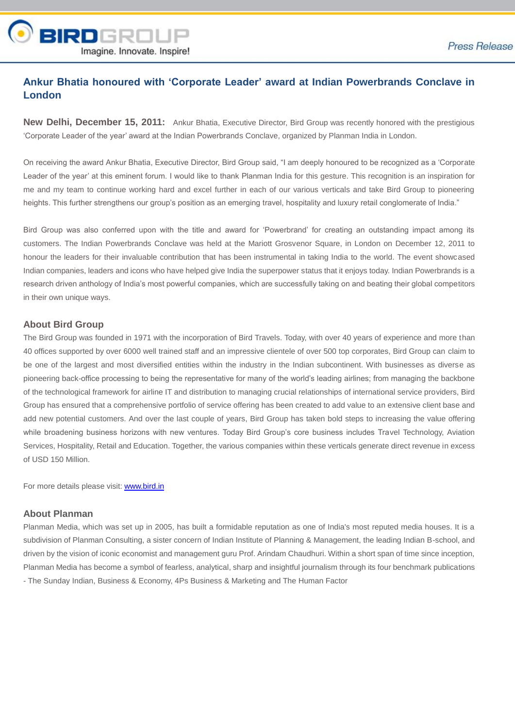

## **Ankur Bhatia honoured with 'Corporate Leader' award at Indian Powerbrands Conclave in London**

**New Delhi, December 15, 2011:** Ankur Bhatia, Executive Director, Bird Group was recently honored with the prestigious 'Corporate Leader of the year' award at the Indian Powerbrands Conclave, organized by Planman India in London.

On receiving the award Ankur Bhatia, Executive Director, Bird Group said, "I am deeply honoured to be recognized as a 'Corporate Leader of the year' at this eminent forum. I would like to thank Planman India for this gesture. This recognition is an inspiration for me and my team to continue working hard and excel further in each of our various verticals and take Bird Group to pioneering heights. This further strengthens our group's position as an emerging travel, hospitality and luxury retail conglomerate of India."

Bird Group was also conferred upon with the title and award for 'Powerbrand' for creating an outstanding impact among its customers. The Indian Powerbrands Conclave was held at the Mariott Grosvenor Square, in London on December 12, 2011 to honour the leaders for their invaluable contribution that has been instrumental in taking India to the world. The event showcased Indian companies, leaders and icons who have helped give India the superpower status that it enjoys today. Indian Powerbrands is a research driven anthology of India's most powerful companies, which are successfully taking on and beating their global competitors in their own unique ways.

## **About Bird Group**

The Bird Group was founded in 1971 with the incorporation of Bird Travels. Today, with over 40 years of experience and more than 40 offices supported by over 6000 well trained staff and an impressive clientele of over 500 top corporates, Bird Group can claim to be one of the largest and most diversified entities within the industry in the Indian subcontinent. With businesses as diverse as pioneering back-office processing to being the representative for many of the world's leading airlines; from managing the backbone of the technological framework for airline IT and distribution to managing crucial relationships of international service providers, Bird Group has ensured that a comprehensive portfolio of service offering has been created to add value to an extensive client base and add new potential customers. And over the last couple of years, Bird Group has taken bold steps to increasing the value offering while broadening business horizons with new ventures. Today Bird Group's core business includes Travel Technology, Aviation Services, Hospitality, Retail and Education. Together, the various companies within these verticals generate direct revenue in excess of USD 150 Million.

For more details please visit: www.bird.in

## **About Planman**

Planman Media, which was set up in 2005, has built a formidable reputation as one of India's most reputed media houses. It is a subdivision of Planman Consulting, a sister concern of Indian Institute of Planning & Management, the leading Indian B-school, and driven by the vision of iconic economist and management guru Prof. Arindam Chaudhuri. Within a short span of time since inception, Planman Media has become a symbol of fearless, analytical, sharp and insightful journalism through its four benchmark publications - The Sunday Indian, Business & Economy, 4Ps Business & Marketing and The Human Factor